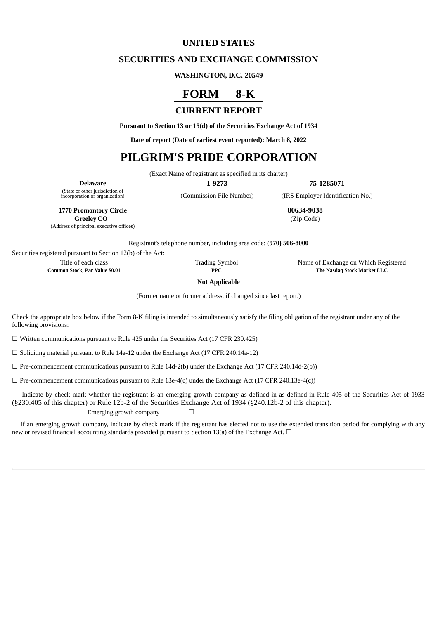## **UNITED STATES**

## **SECURITIES AND EXCHANGE COMMISSION**

#### **WASHINGTON, D.C. 20549**

# **FORM 8-K**

## **CURRENT REPORT**

**Pursuant to Section 13 or 15(d) of the Securities Exchange Act of 1934**

**Date of report (Date of earliest event reported): March 8, 2022**

## **PILGRIM'S PRIDE CORPORATION**

(Exact Name of registrant as specified in its charter)

**Delaware 1-9273 75-1285071**

(State or other jurisdiction of

(Commission File Number) (IRS Employer Identification No.)

**1770 Promontory Circle 80634-9038**

**Greeley CO** (Zip Code) (Address of principal executive offices)

Registrant's telephone number, including area code: **(970) 506-8000**

Securities registered pursuant to Section 12(b) of the Act:

Title of each class Trading Symbol Name of Exchange on Which Registered

**Common Stock, Par Value \$0.01 PPC PPC The Nasdaq Stock Market LLC** 

**Not Applicable**

(Former name or former address, if changed since last report.)

Check the appropriate box below if the Form 8-K filing is intended to simultaneously satisfy the filing obligation of the registrant under any of the following provisions:

☐ Written communications pursuant to Rule 425 under the Securities Act (17 CFR 230.425)

☐ Soliciting material pursuant to Rule 14a-12 under the Exchange Act (17 CFR 240.14a-12)

 $\Box$  Pre-commencement communications pursuant to Rule 14d-2(b) under the Exchange Act (17 CFR 240.14d-2(b))

 $\Box$  Pre-commencement communications pursuant to Rule 13e-4(c) under the Exchange Act (17 CFR 240.13e-4(c))

Indicate by check mark whether the registrant is an emerging growth company as defined in as defined in Rule 405 of the Securities Act of 1933 (§230.405 of this chapter) or Rule 12b-2 of the Securities Exchange Act of 1934 (§240.12b-2 of this chapter).

Emerging growth company  $\Box$ 

If an emerging growth company, indicate by check mark if the registrant has elected not to use the extended transition period for complying with any new or revised financial accounting standards provided pursuant to Section 13(a) of the Exchange Act.  $\Box$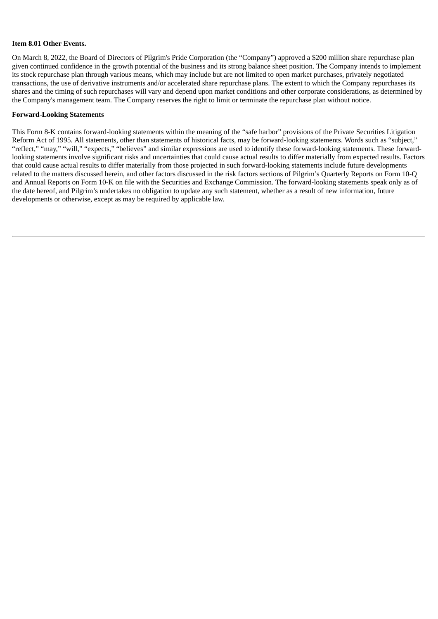#### **Item 8.01 Other Events.**

On March 8, 2022, the Board of Directors of Pilgrim's Pride Corporation (the "Company") approved a \$200 million share repurchase plan given continued confidence in the growth potential of the business and its strong balance sheet position. The Company intends to implement its stock repurchase plan through various means, which may include but are not limited to open market purchases, privately negotiated transactions, the use of derivative instruments and/or accelerated share repurchase plans. The extent to which the Company repurchases its shares and the timing of such repurchases will vary and depend upon market conditions and other corporate considerations, as determined by the Company's management team. The Company reserves the right to limit or terminate the repurchase plan without notice.

#### **Forward-Looking Statements**

This Form 8-K contains forward-looking statements within the meaning of the "safe harbor" provisions of the Private Securities Litigation Reform Act of 1995. All statements, other than statements of historical facts, may be forward-looking statements. Words such as "subject," "reflect," "may," "will," "expects," "believes" and similar expressions are used to identify these forward-looking statements. These forwardlooking statements involve significant risks and uncertainties that could cause actual results to differ materially from expected results. Factors that could cause actual results to differ materially from those projected in such forward-looking statements include future developments related to the matters discussed herein, and other factors discussed in the risk factors sections of Pilgrim's Quarterly Reports on Form 10-Q and Annual Reports on Form 10-K on file with the Securities and Exchange Commission. The forward-looking statements speak only as of the date hereof, and Pilgrim's undertakes no obligation to update any such statement, whether as a result of new information, future developments or otherwise, except as may be required by applicable law.